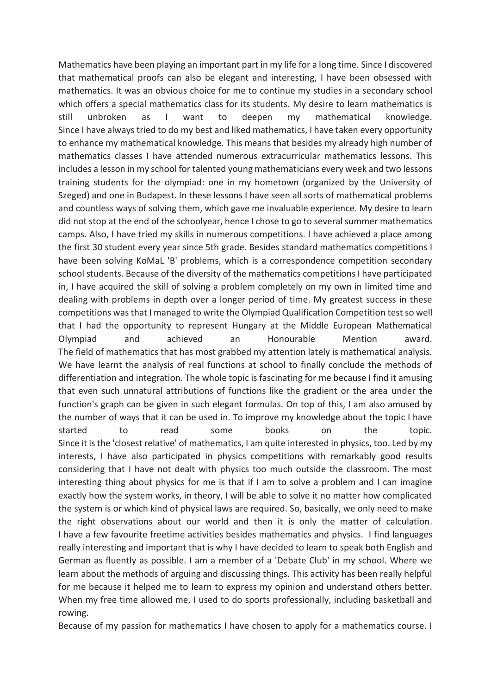Mathematics have been playing an important part in my life for a long time. Since I discovered that mathematical proofs can also be elegant and interesting, I have been obsessed with mathematics. It was an obvious choice for me to continue my studies in a secondary school which offers a special mathematics class for its students. My desire to learn mathematics is still unbroken as I want to deepen my mathematical knowledge. Since I have always tried to do my best and liked mathematics, I have taken every opportunity to enhance my mathematical knowledge. This means that besides my already high number of mathematics classes I have attended numerous extracurricular mathematics lessons. This includes a lesson in my school for talented young mathematicians every week and two lessons training students for the olympiad: one in my hometown (organized by the University of Szeged) and one in Budapest. In these lessons I have seen all sorts of mathematical problems and countless ways of solving them, which gave me invaluable experience. My desire to learn did not stop at the end of the schoolyear, hence I chose to go to several summer mathematics camps. Also, I have tried my skills in numerous competitions. I have achieved a place among the first 30 student every year since 5th grade. Besides standard mathematics competitions I have been solving KoMaL 'B' problems, which is a correspondence competition secondary school students. Because of the diversity of the mathematics competitions I have participated in, I have acquired the skill of solving a problem completely on my own in limited time and dealing with problems in depth over a longer period of time. My greatest success in these competitions was that I managed to write the Olympiad Qualification Competition test so well that I had the opportunity to represent Hungary at the Middle European Mathematical Olympiad and achieved an Honourable Mention award. The field of mathematics that has most grabbed my attention lately is mathematical analysis. We have learnt the analysis of real functions at school to finally conclude the methods of differentiation and integration. The whole topic is fascinating for me because I find it amusing that even such unnatural attributions of functions like the gradient or the area under the function's graph can be given in such elegant formulas. On top of this, I am also amused by the number of ways that it can be used in. To improve my knowledge about the topic I have started to read some books on the topic. Since it is the 'closest relative' of mathematics, I am quite interested in physics, too. Led by my interests, I have also participated in physics competitions with remarkably good results considering that I have not dealt with physics too much outside the classroom. The most interesting thing about physics for me is that if I am to solve a problem and I can imagine exactly how the system works, in theory, I will be able to solve it no matter how complicated the system is or which kind of physical laws are required. So, basically, we only need to make the right observations about our world and then it is only the matter of calculation. I have a few favourite freetime activities besides mathematics and physics. I find languages really interesting and important that is why I have decided to learn to speak both English and German as fluently as possible. I am a member of a 'Debate Club' in my school. Where we learn about the methods of arguing and discussing things. This activity has been really helpful for me because it helped me to learn to express my opinion and understand others better. When my free time allowed me, I used to do sports professionally, including basketball and rowing.

Because of my passion for mathematics I have chosen to apply for a mathematics course. I